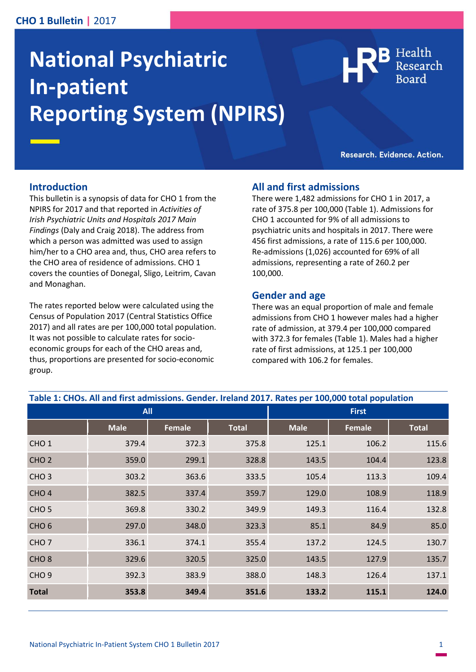# **CHO 1 Bulletin |** 2017

# **National Psychiatric In-patient Reporting System (NPIRS)**



Research. Evidence. Action.

#### **Introduction**

This bulletin is a synopsis of data for CHO 1 from the NPIRS for 2017 and that reported in *Activities of Irish Psychiatric Units and Hospitals 2017 Main Findings* (Daly and Craig 2018). The address from which a person was admitted was used to assign him/her to a CHO area and, thus, CHO area refers to the CHO area of residence of admissions. CHO 1 covers the counties of Donegal, Sligo, Leitrim, Cavan and Monaghan.

The rates reported below were calculated using the Census of Population 2017 (Central Statistics Office 2017) and all rates are per 100,000 total population. It was not possible to calculate rates for socioeconomic groups for each of the CHO areas and, thus, proportions are presented for socio-economic group.

#### **All and first admissions**

There were 1,482 admissions for CHO 1 in 2017, a rate of 375.8 per 100,000 (Table 1). Admissions for CHO 1 accounted for 9% of all admissions to psychiatric units and hospitals in 2017. There were 456 first admissions, a rate of 115.6 per 100,000. Re-admissions (1,026) accounted for 69% of all admissions, representing a rate of 260.2 per 100,000.

#### **Gender and age**

There was an equal proportion of male and female admissions from CHO 1 however males had a higher rate of admission, at 379.4 per 100,000 compared with 372.3 for females (Table 1). Males had a higher rate of first admissions, at 125.1 per 100,000 compared with 106.2 for females.

| Table 1: CHOs. All and first admissions. Gender. Ireland 2017. Rates per 100,000 total population |             |               |              |              |               |              |
|---------------------------------------------------------------------------------------------------|-------------|---------------|--------------|--------------|---------------|--------------|
| <b>All</b>                                                                                        |             |               |              | <b>First</b> |               |              |
|                                                                                                   | <b>Male</b> | <b>Female</b> | <b>Total</b> | <b>Male</b>  | <b>Female</b> | <b>Total</b> |
| CHO <sub>1</sub>                                                                                  | 379.4       | 372.3         | 375.8        | 125.1        | 106.2         | 115.6        |
| CHO <sub>2</sub>                                                                                  | 359.0       | 299.1         | 328.8        | 143.5        | 104.4         | 123.8        |
| CHO <sub>3</sub>                                                                                  | 303.2       | 363.6         | 333.5        | 105.4        | 113.3         | 109.4        |
| CHO <sub>4</sub>                                                                                  | 382.5       | 337.4         | 359.7        | 129.0        | 108.9         | 118.9        |
| CHO <sub>5</sub>                                                                                  | 369.8       | 330.2         | 349.9        | 149.3        | 116.4         | 132.8        |
| CHO <sub>6</sub>                                                                                  | 297.0       | 348.0         | 323.3        | 85.1         | 84.9          | 85.0         |
| CHO <sub>7</sub>                                                                                  | 336.1       | 374.1         | 355.4        | 137.2        | 124.5         | 130.7        |
| CHO <sub>8</sub>                                                                                  | 329.6       | 320.5         | 325.0        | 143.5        | 127.9         | 135.7        |
| CHO <sub>9</sub>                                                                                  | 392.3       | 383.9         | 388.0        | 148.3        | 126.4         | 137.1        |
| <b>Total</b>                                                                                      | 353.8       | 349.4         | 351.6        | 133.2        | 115.1         | 124.0        |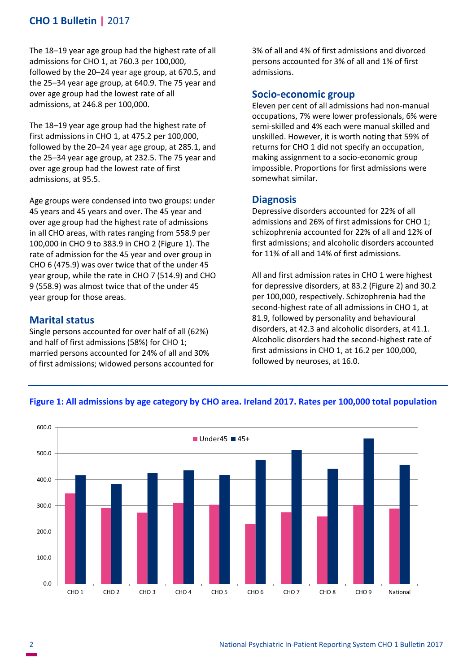# **CHO 1 Bulletin |** 2017

The 18–19 year age group had the highest rate of all admissions for CHO 1, at 760.3 per 100,000, followed by the 20–24 year age group, at 670.5, and the 25–34 year age group, at 640.9. The 75 year and over age group had the lowest rate of all admissions, at 246.8 per 100,000.

The 18–19 year age group had the highest rate of first admissions in CHO 1, at 475.2 per 100,000, followed by the 20–24 year age group, at 285.1, and the 25–34 year age group, at 232.5. The 75 year and over age group had the lowest rate of first admissions, at 95.5.

Age groups were condensed into two groups: under 45 years and 45 years and over. The 45 year and over age group had the highest rate of admissions in all CHO areas, with rates ranging from 558.9 per 100,000 in CHO 9 to 383.9 in CHO 2 (Figure 1). The rate of admission for the 45 year and over group in CHO 6 (475.9) was over twice that of the under 45 year group, while the rate in CHO 7 (514.9) and CHO 9 (558.9) was almost twice that of the under 45 year group for those areas.

# **Marital status**

Single persons accounted for over half of all (62%) and half of first admissions (58%) for CHO 1; married persons accounted for 24% of all and 30% of first admissions; widowed persons accounted for 3% of all and 4% of first admissions and divorced persons accounted for 3% of all and 1% of first admissions.

#### **Socio-economic group**

Eleven per cent of all admissions had non-manual occupations, 7% were lower professionals, 6% were semi-skilled and 4% each were manual skilled and unskilled. However, it is worth noting that 59% of returns for CHO 1 did not specify an occupation, making assignment to a socio-economic group impossible. Proportions for first admissions were somewhat similar.

#### **Diagnosis**

Depressive disorders accounted for 22% of all admissions and 26% of first admissions for CHO 1; schizophrenia accounted for 22% of all and 12% of first admissions; and alcoholic disorders accounted for 11% of all and 14% of first admissions.

All and first admission rates in CHO 1 were highest for depressive disorders, at 83.2 (Figure 2) and 30.2 per 100,000, respectively. Schizophrenia had the second-highest rate of all admissions in CHO 1, at 81.9, followed by personality and behavioural disorders, at 42.3 and alcoholic disorders, at 41.1. Alcoholic disorders had the second-highest rate of first admissions in CHO 1, at 16.2 per 100,000, followed by neuroses, at 16.0.



#### **Figure 1: All admissions by age category by CHO area. Ireland 2017. Rates per 100,000 total population**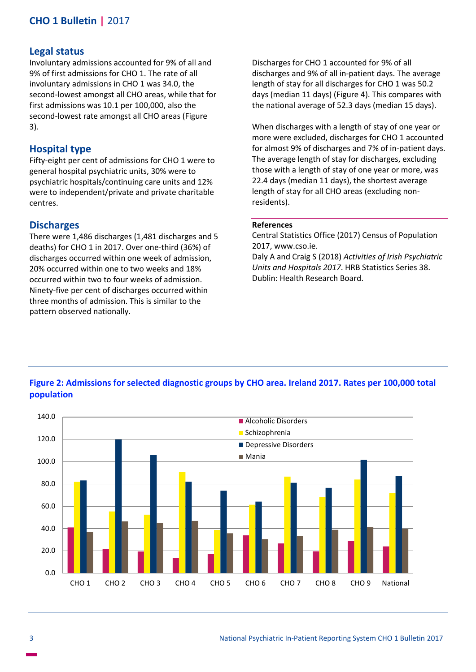# **Legal status**

Involuntary admissions accounted for 9% of all and 9% of first admissions for CHO 1. The rate of all involuntary admissions in CHO 1 was 34.0, the second-lowest amongst all CHO areas, while that for first admissions was 10.1 per 100,000, also the second-lowest rate amongst all CHO areas (Figure 3).

# **Hospital type**

Fifty-eight per cent of admissions for CHO 1 were to general hospital psychiatric units, 30% were to psychiatric hospitals/continuing care units and 12% were to independent/private and private charitable centres.

# **Discharges**

There were 1,486 discharges (1,481 discharges and 5 deaths) for CHO 1 in 2017. Over one-third (36%) of discharges occurred within one week of admission, 20% occurred within one to two weeks and 18% occurred within two to four weeks of admission. Ninety-five per cent of discharges occurred within three months of admission. This is similar to the pattern observed nationally.

Discharges for CHO 1 accounted for 9% of all discharges and 9% of all in-patient days. The average length of stay for all discharges for CHO 1 was 50.2 days (median 11 days) (Figure 4). This compares with the national average of 52.3 days (median 15 days).

When discharges with a length of stay of one year or more were excluded, discharges for CHO 1 accounted for almost 9% of discharges and 7% of in-patient days. The average length of stay for discharges, excluding those with a length of stay of one year or more, was 22.4 days (median 11 days), the shortest average length of stay for all CHO areas (excluding nonresidents).

#### **References**

Central Statistics Office (2017) Census of Population 2017, www.cso.ie.

Daly A and Craig S (2018) *Activities of Irish Psychiatric Units and Hospitals 2017*. HRB Statistics Series 38. Dublin: Health Research Board.



# **Figure 2: Admissions for selected diagnostic groups by CHO area. Ireland 2017. Rates per 100,000 total population**